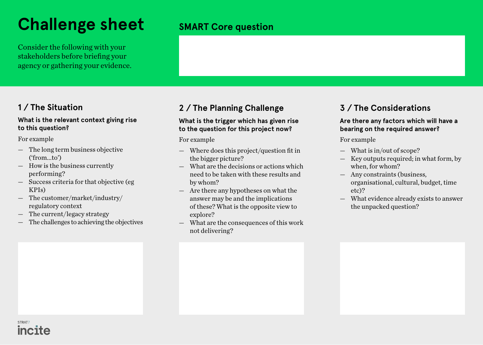# **Challenge sheet**

Consider the following with your stakeholders before briefing your agency or gathering your evidence.

### **1 / The Situation**

### **What is the relevant context giving rise to this question?**

For example

- The long term business objective ('from...to')
- How is the business currently performing?
- Success criteria for that objective (eg KPIs)
- The customer/market/industry/ regulatory context
- The current/legacy strategy
- The challenges to achieving the objectives

## **SMART Core question**

## **2 / The Planning Challenge**

### **What is the trigger which has given rise to the question for this project now?**

For example

- Where does this project/question fit in the bigger picture?
- What are the decisions or actions which need to be taken with these results and by whom?
- Are there any hypotheses on what the answer may be and the implications of these? What is the opposite view to explore?
- What are the consequences of this work not delivering?

### **3 / The Considerations**

### **Are there any factors which will have a bearing on the required answer?**

For example

- What is in/out of scope?
- Key outputs required; in what form, by when, for whom?
- Any constraints (business, organisational, cultural, budget, time etc)?
- What evidence already exists to answer the unpacked question?

CTDAT incite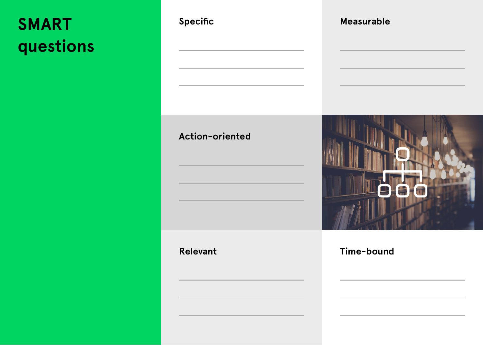# **SMART questions**

| Specific        | Measurable |
|-----------------|------------|
|                 |            |
| Action-oriented |            |
| <b>Relevant</b> | Time-bound |
|                 |            |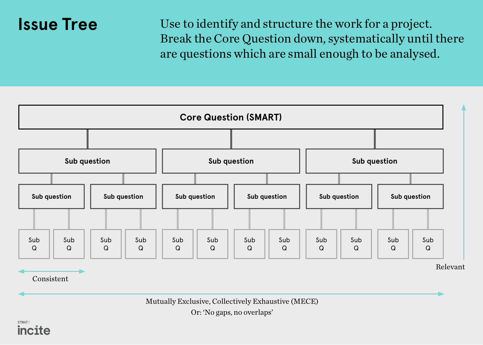# **Issue Tree**

Use to identify and structure the work for a project. Break the Core Question down, systematically until there are questions which are small enough to be analysed.



Consistent

Mutually Exclusive, Collectively Exhaustive (MECE)

Or: 'No gaps, no overlaps'

### STRAT. incite